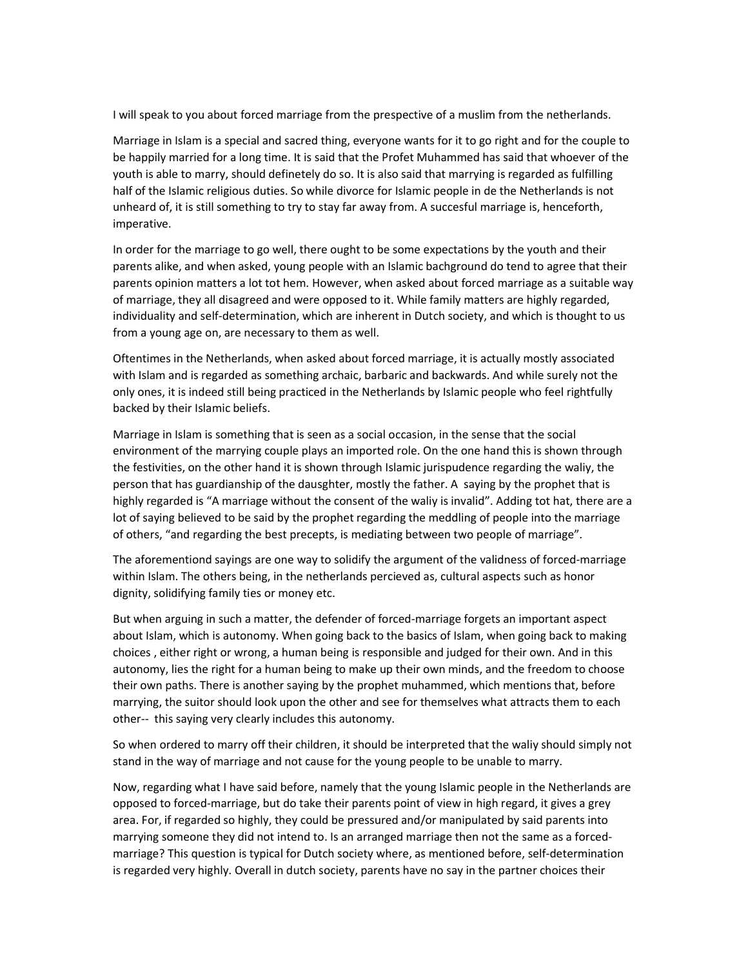I will speak to you about forced marriage from the prespective of a muslim from the netherlands.

Marriage in Islam is a special and sacred thing, everyone wants for it to go right and for the couple to be happily married for a long time. It is said that the Profet Muhammed has said that whoever of the youth is able to marry, should definetely do so. It is also said that marrying is regarded as fulfilling half of the Islamic religious duties. So while divorce for Islamic people in de the Netherlands is not unheard of, it is still something to try to stay far away from. A succesful marriage is, henceforth, imperative.

In order for the marriage to go well, there ought to be some expectations by the youth and their parents alike, and when asked, young people with an Islamic bachground do tend to agree that their parents opinion matters a lot tot hem. However, when asked about forced marriage as a suitable way of marriage, they all disagreed and were opposed to it. While family matters are highly regarded, individuality and self-determination, which are inherent in Dutch society, and which is thought to us from a young age on, are necessary to them as well.

Oftentimes in the Netherlands, when asked about forced marriage, it is actually mostly associated with Islam and is regarded as something archaic, barbaric and backwards. And while surely not the only ones, it is indeed still being practiced in the Netherlands by Islamic people who feel rightfully backed by their Islamic beliefs.

Marriage in Islam is something that is seen as a social occasion, in the sense that the social environment of the marrying couple plays an imported role. On the one hand this is shown through the festivities, on the other hand it is shown through Islamic jurispudence regarding the waliy, the person that has guardianship of the dausghter, mostly the father. A saying by the prophet that is highly regarded is "A marriage without the consent of the waliy is invalid". Adding tot hat, there are a lot of saying believed to be said by the prophet regarding the meddling of people into the marriage of others, "and regarding the best precepts, is mediating between two people of marriage".

The aforementiond sayings are one way to solidify the argument of the validness of forced-marriage within Islam. The others being, in the netherlands percieved as, cultural aspects such as honor dignity, solidifying family ties or money etc.

But when arguing in such a matter, the defender of forced-marriage forgets an important aspect about Islam, which is autonomy. When going back to the basics of Islam, when going back to making choices , either right or wrong, a human being is responsible and judged for their own. And in this autonomy, lies the right for a human being to make up their own minds, and the freedom to choose their own paths. There is another saying by the prophet muhammed, which mentions that, before marrying, the suitor should look upon the other and see for themselves what attracts them to each other-- this saying very clearly includes this autonomy.

So when ordered to marry off their children, it should be interpreted that the waliy should simply not stand in the way of marriage and not cause for the young people to be unable to marry.

Now, regarding what I have said before, namely that the young Islamic people in the Netherlands are opposed to forced-marriage, but do take their parents point of view in high regard, it gives a grey area. For, if regarded so highly, they could be pressured and/or manipulated by said parents into marrying someone they did not intend to. Is an arranged marriage then not the same as a forcedmarriage? This question is typical for Dutch society where, as mentioned before, self-determination is regarded very highly. Overall in dutch society, parents have no say in the partner choices their